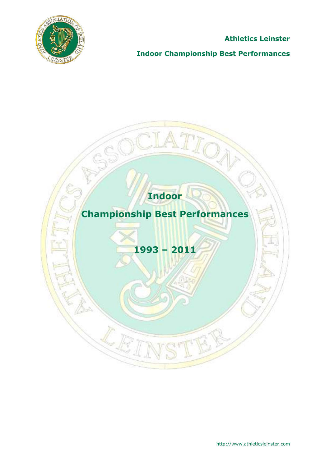

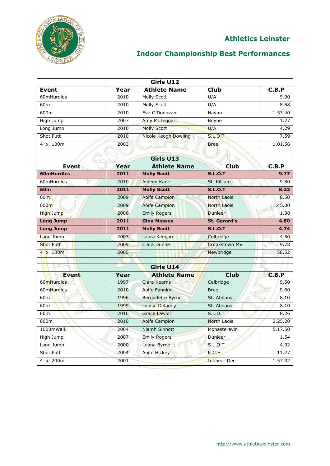

| Girls U12       |      |                      |                |         |
|-----------------|------|----------------------|----------------|---------|
| Event           | Year | <b>Athlete Name</b>  | <b>Club</b>    | C.B.P   |
| 60mHurdles      | 2010 | Molly Scott          | U/A            | 9.90    |
| 60 <sub>m</sub> | 2010 | Molly Scott          | U/A            | 8.58    |
| 600m            | 2010 | Eva O'Donovan        | Navan          | 1.53.40 |
| High Jump       | 2007 | Amy McTeggart        | Boyne          | 1.27    |
| Long Jump       | 2010 | <b>Molly Scott</b>   | U/A            | 4.29    |
| Shot Putt       | 2010 | Nicole Keogh Dowling | <b>S.L.O.T</b> | 7.59    |
| 4 x 100m        | 2003 |                      | <b>Bree</b>    | 1.01.56 |
|                 |      |                      |                |         |

| Girls U13         |      |                      |                      |         |
|-------------------|------|----------------------|----------------------|---------|
| <b>Event</b>      | Year | <b>Athlete Name</b>  | <b>Club</b>          | C.B.P   |
| 60mHurdles        | 2011 | <b>Molly Scott</b>   | <b>S.L.O.T</b>       | 9.77    |
| 60mHurdles        | 2010 | Aideen Kane          | St. Killian's        | 9.80    |
| 60 <sub>m</sub>   | 2011 | <b>Molly Scott</b>   | <b>S.L.O.T</b>       | 8.23    |
| 60m               | 2009 | <b>Aoife Campion</b> | <b>North Laois</b>   | 8.50    |
| 600 <sub>m</sub>  | 2009 | <b>Aoife Campion</b> | <b>North Laois</b>   | 1.45.00 |
| High Jump         | 2006 | <b>Emily Rogers</b>  | <b>Dunleer</b>       | 1.38    |
| <b>Long Jump</b>  | 2011 | <b>Gina Mosses</b>   | St. Gerard's         | 4.80    |
| <b>Long Jump</b>  | 2011 | <b>Molly Scott</b>   | <b>S.L.O.T</b>       | 4.74    |
| Long Jump         | 2003 | Laura Keegan         | Celbridge            | 4.50    |
| <b>Shot Putt</b>  | 2009 | Ciara Dunne          | <b>Crookstown MV</b> | 9.78    |
| $4 \times 100m$   | 2005 |                      | Newbridge            | 58.52   |
| <b>CONTRACTOR</b> |      |                      |                      |         |

| Girls U14       |      |                                    |                    |         |  |
|-----------------|------|------------------------------------|--------------------|---------|--|
| <b>Event</b>    | Year | <b>Athlete Name</b>                | <b>Club</b>        | C.B.P   |  |
| 60mHurdles      | 1997 | Ciara Kearns                       | Celbridge          | 9.50    |  |
| 60mHurdles      | 2010 | Aoife Fanning                      | <b>Bree</b>        | 9.60    |  |
| 60 <sub>m</sub> | 1996 | <b>Bernadette Byrne</b>            | St. Abbans         | 8.10    |  |
| 60 <sub>m</sub> | 1999 | Louise Delaney                     | St. Abbans         | 8.10    |  |
| 60 <sub>m</sub> | 2010 | <b>Grace Lawlor</b>                | S.L.O.T            | 8.26    |  |
| 800m            | 2010 | Aoife Campion                      | North Laois        | 2.25.20 |  |
| 1000mWalk       | 2004 | Niamh Sinnott                      | Monasterevin       | 5.17.50 |  |
| High Jump       | 2007 | <b>Emily Rogers</b>                | Dunleer            | 1.54    |  |
| Long Jump       | 2000 | Leona Byrne                        | S.L.O.T            | 4.92    |  |
| Shot Putt       | 2004 | <b>Aoife Hickey</b>                | K.C.H              | 11.27   |  |
| 4 x 200m        | 2001 | $\alpha$ and $\alpha$ and $\alpha$ | <b>Inbhear Dee</b> | 1.57.32 |  |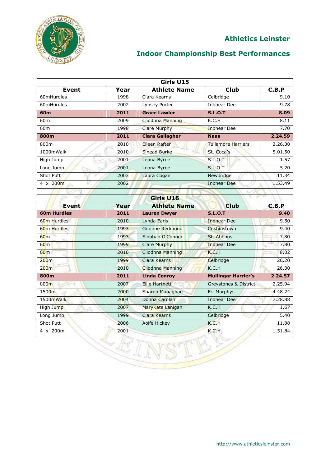

# **Indoor Championship Best Performances**

| Girls U15        |      |                        |                           |         |
|------------------|------|------------------------|---------------------------|---------|
| Event            | Year | <b>Athlete Name</b>    | <b>Club</b>               | C.B.P   |
| 60mHurdles       | 1998 | Ciara Kearns           | Celbridge                 | 9.10    |
| 60mHurdles       | 2002 | Lynsey Porter          | <b>Inbhear Dee</b>        | 9.78    |
| 60 <sub>m</sub>  | 2011 | <b>Grace Lawler</b>    | <b>S.L.O.T</b>            | 8.09    |
| 60 <sub>m</sub>  | 2009 | Cliodhna Manning       | K.C.H                     | 8.11    |
| 60 <sub>m</sub>  | 1998 | <b>Clare Murphy</b>    | <b>Inbhear Dee</b>        | 7.70    |
| 800m             | 2011 | <b>Ciara Gallagher</b> | <b>Naas</b>               | 2.24.59 |
| 800m             | 2010 | Eileen Rafter          | <b>Tullamore Harriers</b> | 2.26.30 |
| 1000mWalk        | 2010 | <b>Sinead Burke</b>    | St. Coca's                | 5.01.50 |
| High Jump        | 2001 | Leona Byrne            | S.L.O.T                   | 1.57    |
| Long Jump        | 2001 | Leona Byrne            | S.L.O.T                   | 5.20    |
| Shot Putt        | 2003 | Laura Cogan            | Newbridge                 | 11.34   |
| $4 \times 200$ m | 2002 |                        | <b>Inbhear Dee</b>        | 1.53.49 |
|                  |      |                        |                           |         |
|                  |      | Girls U16              |                           |         |

| чшэ одо                 |      |                        |                            |         |  |
|-------------------------|------|------------------------|----------------------------|---------|--|
| Event                   | Year | <b>Athlete Name</b>    | Club                       | C.B.P   |  |
| <b>60m Hurdles</b>      | 2011 | <b>Lauren Dwyer</b>    | <b>S.L.O.T</b>             | 9.40    |  |
| 60 <sub>m</sub> Hurdles | 2010 | Lynda Earls            | <b>Inbhear Dee</b>         | 9.50    |  |
| 60 <sub>m</sub> Hurdles | 1993 | <b>Grainne Redmond</b> | Cushinstown                | 9.40    |  |
| 60 <sub>m</sub>         | 1993 | Siobhan O'Connor       | St. Abbans                 | 7.80    |  |
| 60 <sub>m</sub>         | 1999 | <b>Clare Murphy</b>    | <b>Inbhear Dee</b>         | 7.80    |  |
| 60 <sub>m</sub>         | 2010 | Cliodhna Manning       | K.C.H                      | 8.02    |  |
| 200 <sub>m</sub>        | 1999 | Ciara Kearns           | Celbridge                  | 26.20   |  |
| 200 <sub>m</sub>        | 2010 | Cliodhna Manning       | K.C.H                      | 26.30   |  |
| 800m                    | 2011 | <b>Linda Conroy</b>    | <b>Mullingar Harrier's</b> | 2.24.57 |  |
| 800 <sub>m</sub>        | 2007 | <b>Ellie Hartnett</b>  | Greystones & District      | 2.25.94 |  |
| 1500m                   | 2000 | Sharon Monaghan        | Fr. Murphys                | 4.48.24 |  |
| 1500mWalk               | 2004 | Donna Carolan          | Inbhear Dee                | 7.28.88 |  |
| High Jump               | 2007 | MaryKate Lanigan       | K.C.H                      | 1.67    |  |
| Long Jump               | 1999 | Ciara Kearns           | Celbridge                  | 5.40    |  |
| Shot Putt               | 2006 | Aoife Hickey           | K.C.H                      | 11.88   |  |
| 4 x 200m                | 2001 |                        | K.C.H                      | 1.51.84 |  |

-2

 $\mathbb{R}$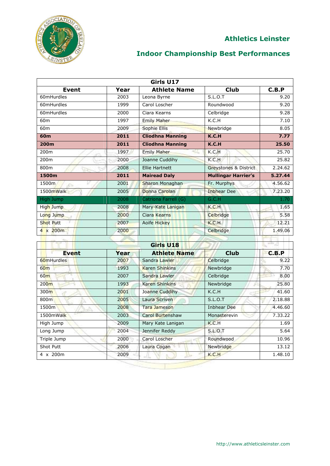

|                  |      | Girls U17               |                            |         |
|------------------|------|-------------------------|----------------------------|---------|
| <b>Event</b>     | Year | <b>Athlete Name</b>     | <b>Club</b>                | C.B.P   |
| 60mHurdles       | 2003 | Leona Byrne             | <b>S.L.O.T</b>             | 9.20    |
| 60mHurdles       | 1999 | Carol Loscher           | Roundwood                  | 9.20    |
| 60mHurdles       | 2000 | Ciara Kearns            | Celbridge                  | 9.28    |
| 60 <sub>m</sub>  | 1997 | <b>Emily Maher</b>      | K.C.H                      | 7.10    |
| 60m              | 2009 | Sophie Ellis            | Newbridge                  | 8.05    |
| 60 <sub>m</sub>  | 2011 | <b>Cliodhna Manning</b> | K.C.H                      | 7.77    |
| 200m             | 2011 | <b>Cliodhna Manning</b> | K.C.H                      | 25.50   |
| 200m             | 1997 | <b>Emily Maher</b><br>≪ | K.C.H                      | 25.70   |
| 200m             | 2000 | Joanne Cuddihy          | K.C.H                      | 25.82   |
| 800m             | 2008 | <b>Ellie Hartnett</b>   | Greystones & District      | 2.24.62 |
| 1500m            | 2011 | <b>Mairead Daly</b>     | <b>Mullingar Harrier's</b> | 5.27.44 |
| 1500m<br>c.      | 2001 | Sharon Monaghan         | Fr. Murphys                | 4.56.62 |
| 1500mWalk        | 2005 | Donna Carolan           | <b>Inbhear Dee</b>         | 7.23.20 |
| High Jump        | 2008 | Catriona Farrell (G)    | G.C.H                      | 1.70    |
| High Jump        | 2008 | Mary-Kate Lanigan       | K.C.H                      | 1.65    |
| Long Jump        | 2000 | Ciara Kearns            | Celbridge                  | 5.58    |
| Shot Putt        | 2007 | <b>Aoife Hickey</b>     | K.C.H                      | 12.21   |
| $4 \times 200$ m | 2000 |                         | Celbridge                  | 1.49.06 |
|                  |      |                         |                            |         |
|                  |      | Girls U18               |                            | الزنتك  |
| <b>Event</b>     | Year | <b>Athlete Name</b>     | <b>Club</b>                | C.B.P   |
| 60mHurdles       | 2007 | Sandra Lawler           | Celbridge                  | 9.22    |
| 60 <sub>m</sub>  | 1993 | <b>Karen Shinkins</b>   | Newbridge                  | 7.70    |
| 60 <sub>m</sub>  | 2007 | Sandra Lawler           | Celbridge                  | 8.00    |
| 200 <sub>m</sub> | 1993 | <b>Karen Shinkins</b>   | Newbridge                  | 25.80   |
| 300 <sub>m</sub> | 2001 | Joanne Cuddihy          | K.C.H                      | 41.60   |
| 800m             | 2005 | Laura Scriven           | <b>S.L.O.T</b>             | 2.18.88 |
| 1500m            | 2008 | <b>Tara Jameson</b>     | <b>Inbhear Dee</b>         | 4.46.60 |
| 1500mWalk        | 2003 | <b>Carol Burtenshaw</b> | Monasterevin               | 7.33.22 |
| High Jump        | 2009 | Mary Kate Lanigan       | K.C.H                      | 1.69    |
| Long Jump        | 2004 | Jennifer Reddy          | <b>S.L.O.T</b>             | 5.64    |
| Triple Jump      | 2000 | Carol Loscher           | Roundwood                  | 10.96   |
| Shot Putt        | 2006 | Laura Cogan             | Newbridge                  | 13.12   |
| $4 \times 200m$  | 2009 |                         | K.C.H                      | 1.48.10 |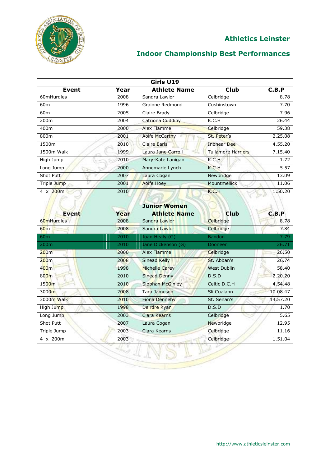

| Girls U19        |      |                       |                        |         |
|------------------|------|-----------------------|------------------------|---------|
| Event            | Year | <b>Athlete Name</b>   | <b>Club</b>            | C.B.P   |
| 60mHurdles       | 2008 | Sandra Lawlor         | Celbridge              | 8.78    |
| 60 <sub>m</sub>  | 1996 | Grainne Redmond       | Cushinstown            | 7.70    |
| 60 <sub>m</sub>  | 2005 | Claire Brady          | Celbridge              | 7.96    |
| 200 <sub>m</sub> | 2004 | Catriona Cuddihy      | K.C.H                  | 26.44   |
| 400m             | 2000 | Alex Flamme           | Celbridge              | 59.38   |
| 800m             | 2001 | <b>Aoife McCarthy</b> | St. Peter's            | 2.25.08 |
| 1500m            | 2010 | <b>Claire Earls</b>   | <b>Inbhear Dee</b>     | 4.55.20 |
| 1500m Walk       | 1999 | Laura Jane Carroll    | Tullamore Harriers     | 7.15.40 |
| High Jump        | 2010 | Mary-Kate Lanigan     | K.C.H                  | 1.72    |
| Long Jump        | 2000 | Annemarie Lynch       | K.C.H<br><b>House,</b> | 5.57    |
| Shot Putt        | 2007 | Laura Cogan           | Newbridge              | 13.09   |
| Triple Jump      | 2001 | <b>Aoife Hoey</b>     | <b>Mountmellick</b>    | 11.06   |
| $4 \times 200$ m | 2010 |                       | K.C.H                  | 1,50,20 |
|                  |      |                       |                        |         |

| <b>Event</b>     | Year | <b>Athlete Name</b>   | <b>Club</b>        | C.B.P    |
|------------------|------|-----------------------|--------------------|----------|
| 60mHurdles       | 2008 | Sandra Lawlor         | Celbridge          | 8.78     |
| 60m              | 2008 | Sandra Lawlor         | Celbridge          | 7.84     |
| 60 <sub>m</sub>  | 2010 | Joan Healy (G)        | <b>Bandon</b>      | 7.79     |
| 200 <sub>m</sub> | 2010 | Jane Dickenson (G)    | Dooneen            | 26.71    |
| 200m             | 2000 | Alex Flamme           | Celbridge          | 26.50    |
| 200 <sub>m</sub> | 2008 | <b>Sinead Kelly</b>   | St. Abban's        | 26.74    |
| 400m             | 1998 | <b>Michelle Carey</b> | <b>West Dublin</b> | 58.40    |
| 800 <sub>m</sub> | 2010 | Sinead Denny          | D.S.D              | 2.20.20  |
| 1500m            | 2010 | Siobhan McGinley      | Celtic D.C.H       | 4.54.48  |
| 3000m            | 2008 | Tara Jameson          | Sli Cualann        | 10.08.47 |
| 3000m Walk       | 2010 | Fiona Dennehy         | St. Senan's        | 14.57.20 |
| High Jump        | 1998 | Deirdre Ryan          | D.S.D              | 1.70     |
| Long Jump        | 2003 | Ciara Kearns          | Celbridge          | 5.65     |
| Shot Putt        | 2007 | Laura Cogan           | Newbridge          | 12.95    |
| Triple Jump      | 2003 | Ciara Kearns          | Celbridge          | 11.16    |
| 4 x 200m         | 2003 |                       | Celbridge          | 1.51.04  |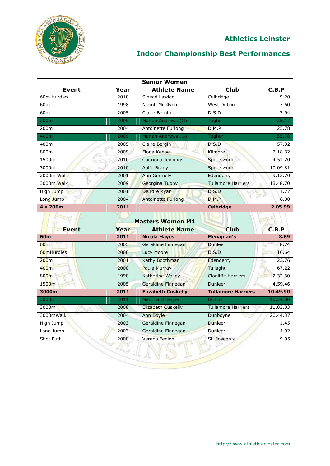

| <b>Senior Women</b> |      |                           |                           |          |
|---------------------|------|---------------------------|---------------------------|----------|
| Event               | Year | <b>Athlete Name</b>       | <b>Club</b>               | C.B.P    |
| 60m Hurdles         | 2010 | Sinead Lawlor             | Celbridge                 | 9.20     |
| 60 <sub>m</sub>     | 1998 | Niamh McGlynn             | West Dublin               | 7.60     |
| 60 <sub>m</sub>     | 2005 | Claire Bergin             | D.S.D                     | 7.94     |
| 200 <sub>m</sub>    | 2009 | Marian Andrews (G)        | <b>Togher</b>             | 25.17    |
| 200 <sub>m</sub>    | 2004 | Antoinette Furlong        | D.M.P                     | 25.78    |
| 400m                | 2009 | Marian Andrews (G)        | Togher                    | 55.78    |
| 400m                | 2005 | Claire Bergin             | D.S.D                     | 57.32    |
| 800m                | 2009 | Fiona Kehoe               | Kilmore                   | 2.18.32  |
| 1500m               | 2010 | Caitriona Jennings        | Sportsworld               | 4.51.20  |
| 3000m               | 2010 | Aoife Brady               | Sportsworld               | 10.09.81 |
| 2000m Walk          | 2001 | <b>Ann Gormely</b>        | Edenderry                 | 9.12.70  |
| 3000m Walk          | 2009 | Georgina Tuohy            | <b>Tullamore Harriers</b> | 13.48.70 |
| High Jump           | 2001 | Deirdre Ryan              | D.S.D                     | 1.77     |
| Long Jump           | 2004 | <b>Antoinette Furlong</b> | D.M.P                     | 6.00     |
| 4 x 200m            | 2011 |                           | <b>Celbridge</b>          | 2.05.99  |
|                     |      |                           |                           |          |

| <b>Masters Women M1</b> |      |                           |                           |          |
|-------------------------|------|---------------------------|---------------------------|----------|
| <b>Event</b>            | Year | <b>Athlete Name</b>       | <b>Club</b>               | C.B.P    |
| 60 <sub>m</sub>         | 2011 | <b>Nicola Hayes</b>       | Menapian's                | 8.69     |
| 60 <sub>m</sub>         | 2005 | Geraldine Finnegan        | <b>Dunleer</b>            | 8.74     |
| 60mHurdles              | 2006 | Lucy Moore                | D.S.D                     | 10.64    |
| 200 <sub>m</sub>        | 2001 | Kathy Boothman            | Edenderry                 | 23.76    |
| 400m                    | 2008 | Paula Murray              | Tallaght                  | 67.22    |
| 800m                    | 1998 | <b>Katherine Walley</b>   | <b>Clonliffe Harriers</b> | 2.32.30  |
| 1500m                   | 2005 | Geraldine Finnegan        | Dunleer                   | 4.59.46  |
| 3000m                   | 2011 | <b>Elizabeth Cuskelly</b> | <b>Tullamore Harriers</b> | 10.49.90 |
| 3000m                   | 2011 | Martina O'Dwyer           | <b>GUEST</b>              | 10.34.80 |
| 3000m                   | 2008 | Elizabeth Cuskelly        | <b>Tullamore Harriers</b> | 11.03.03 |
| 3000mWalk               | 2004 | <b>Ann Boyle</b>          | Dunboyne                  | 20.44.37 |
| High Jump               | 2003 | Geraldine Finnegan        | Dunleer                   | 1.45     |
| Long Jump               | 2003 | Geraldine Finnegan        | Dunleer                   | 4.92     |
|                         |      | Verena Fenlon             | St. Joseph's              | 9.95     |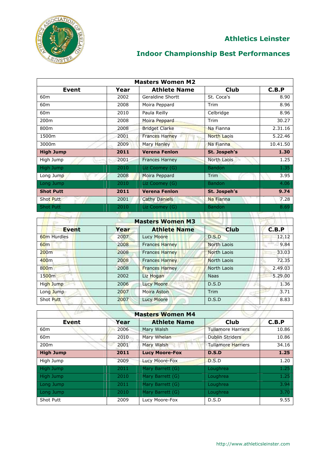

| <b>Masters Women M2</b> |      |                         |                    |          |
|-------------------------|------|-------------------------|--------------------|----------|
| Event                   | Year | <b>Athlete Name</b>     | <b>Club</b>        | C.B.P    |
| 60 <sub>m</sub>         | 2002 | <b>Geraldine Shortt</b> | St. Coca's         | 8.90     |
| 60 <sub>m</sub>         | 2008 | Moira Peppard           | Trim               | 8.96     |
| 60 <sub>m</sub>         | 2010 | Paula Reilly            | Celbridge          | 8.96     |
| 200 <sub>m</sub>        | 2008 | Moira Peppard           | <b>Trim</b>        | 30.27    |
| 800m                    | 2008 | <b>Bridget Clarke</b>   | Na Fianna          | 2.31.16  |
| 1500m                   | 2001 | <b>Frances Harney</b>   | <b>North Laois</b> | 5.22.46  |
| 3000m                   | 2009 | Mary Hanley             | Na Fianna          | 10.41.50 |
| <b>High Jump</b>        | 2011 | <b>Verena Fenlon</b>    | St. Jospeh's       | 1.30     |
| High Jump               | 2001 | <b>Frances Harney</b>   | North Laois        | 1.25     |
| High Jump               | 2010 | Liz Coomey (G)          | <b>Bandon</b>      | 1.35     |
| Long Jump               | 2008 | Moira Peppard           | <b>Trim</b>        | 3.95     |
| Long Jump               | 2010 | Liz Coomey (G)          | <b>Bandon</b>      | 4.06     |
| <b>Shot Putt</b>        | 2011 | <b>Verena Fenlon</b>    | St. Jospeh's       | 9.74     |
| <b>Shot Putt</b>        | 2001 | <b>Cathy Daniels</b>    | Na Fianna          | 7.28     |
| <b>Shot Putt</b>        | 2010 | Liz Coomey (G)          | <b>Bandon</b>      | 8.69     |
|                         |      |                         |                    |          |

| <b>Masters Women M3</b> |      |                       |             |         |  |
|-------------------------|------|-----------------------|-------------|---------|--|
| <b>Event</b>            | Year | <b>Athlete Name</b>   | <b>Club</b> | C.B.P   |  |
| 60 <sub>m</sub> Hurdles | 2007 | Lucy Moore            | D.S.D       | 12.12   |  |
| 60 <sub>m</sub>         | 2008 | <b>Frances Harney</b> | North Laois | 9.84    |  |
| 200m                    | 2008 | <b>Frances Harney</b> | North Laois | 33.03   |  |
| 400 <sub>m</sub>        | 2008 | <b>Frances Harney</b> | North Laois | 72.35   |  |
| 800 <sub>m</sub>        | 2008 | <b>Frances Harney</b> | North Laois | 2.49.03 |  |
| 1500 <sub>m</sub>       | 2002 | Liz Hogan             | <b>Naas</b> | 5.29.00 |  |
| High Jump               | 2006 | <b>Lucy Moore</b>     | D.S.D       | 1.36    |  |
| Long Jump               | 2007 | Moira Aston           | Trim        | 3.71    |  |
| Shot Putt               | 2007 | <b>Lucy Moore</b>     | D.S.D       | 8.83    |  |

| <b>Masters Women M4</b> |      |                       |                           |       |  |
|-------------------------|------|-----------------------|---------------------------|-------|--|
| <b>Event</b>            | Year | <b>Athlete Name</b>   | Club                      | C.B.P |  |
| 60 <sub>m</sub>         | 2006 | Mary Walsh            | <b>Tullamore Harriers</b> | 10.86 |  |
| 60 <sub>m</sub>         | 2010 | Mary Whelan           | <b>Dublin Striders</b>    | 10.86 |  |
| 200 <sub>m</sub>        | 2001 | Mary Walsh            | <b>Tullamore Harriers</b> | 34.16 |  |
| <b>High Jump</b>        | 2011 | <b>Lucy Moore-Fox</b> | D.S.D                     | 1.25  |  |
| High Jump               | 2009 | Lucy Moore-Fox        | D.S.D                     | 1.20  |  |
| High Jump               | 2011 | Mary Barrett (G)      | Loughrea                  | 1.25  |  |
| High Jump               | 2010 | Mary Barrett (G)      | <b>Loughrea</b>           | 1.25  |  |
| Long Jump               | 2011 | Mary Barrett (G)      | Loughrea                  | 3.94  |  |
| Long Jump               | 2010 | Mary Barrett (G)      | Loughrea                  | 3.70  |  |
| Shot Putt               | 2009 | Lucy Moore-Fox        | D.S.D                     | 9.55  |  |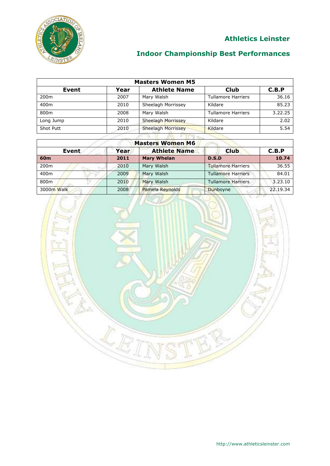

| <b>Masters Women M5</b> |      |                     |                           |         |
|-------------------------|------|---------------------|---------------------------|---------|
| Event                   | Year | <b>Athlete Name</b> | <b>Club</b>               | C.B.P   |
| 200 <sub>m</sub>        | 2007 | Mary Walsh          | <b>Tullamore Harriers</b> | 36.16   |
| 400m                    | 2010 | Sheelagh Morrissey  | Kildare                   | 85.23   |
| 800m                    | 2008 | Mary Walsh          | <b>Tullamore Harriers</b> | 3.22.25 |
| Long Jump               | 2010 | Sheelagh Morrissey  | Kildare                   | 2.02    |
| Shot Putt               | 2010 | Sheelagh Morrissey  | Kildare                   | 5.54    |
|                         |      | <b>All Street</b>   |                           |         |

| <b>Masters Women M6</b> |      |                     |                           |          |  |
|-------------------------|------|---------------------|---------------------------|----------|--|
| Event                   | Year | <b>Athlete Name</b> | <b>Club</b>               | C.B.P    |  |
| 60 <sub>m</sub>         | 2011 | <b>Mary Whelan</b>  | D.S.D                     | 10.74    |  |
| 200 <sub>m</sub>        | 2010 | Mary Walsh          | <b>Tullamore Harriers</b> | 36.55    |  |
| 400m                    | 2009 | Mary Walsh          | <b>Tullamore Harriers</b> | 84.01    |  |
| 800m                    | 2010 | Mary Walsh          | <b>Tullamore Harriers</b> | 3.23.10  |  |
| 3000m Walk              | 2008 | Pamela Reynolds     | Dunboyne                  | 22.19.34 |  |

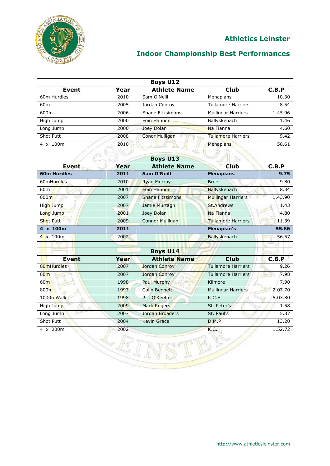

## **Indoor Championship Best Performances**

| <b>Boys U12</b> |      |                         |                           |         |
|-----------------|------|-------------------------|---------------------------|---------|
| <b>Event</b>    | Year | <b>Athlete Name</b>     | <b>Club</b>               | C.B.P   |
| 60m Hurdles     | 2010 | Sam O'Neill             | Menapians                 | 10.30   |
| 60 <sub>m</sub> | 2005 | Jordan Conroy           | <b>Tullamore Harriers</b> | 8.54    |
| 600m            | 2006 | <b>Shane Fitzsimons</b> | <b>Mullingar Harriers</b> | 1.45.96 |
| High Jump       | 2000 | Eoin Hannon             | Ballyskenach              | 1.46    |
| Long Jump       | 2000 | Joey Dolan              | Na Fianna                 | 4.60    |
| Shot Putt       | 2008 | <b>Conor Mulligan</b>   | <b>Tullamore Harriers</b> | 9.42    |
| 4 x 100m        | 2010 |                         | Menapians                 | 58.61   |
|                 |      |                         |                           |         |

| <b>Boys U13</b>    |      |                         |                           |         |
|--------------------|------|-------------------------|---------------------------|---------|
| <b>Event</b>       | Year | <b>Athlete Name</b>     | <b>Club</b>               | C.B.P   |
| <b>60m Hurdles</b> | 2011 | <b>Sam O'Neill</b>      | <b>Menapians</b>          | 9.75    |
| 60mHurdles         | 2010 | <b>Ryan Murray</b>      | <b>Bree</b>               | 9.80    |
| 60 <sub>m</sub>    | 2001 | <b>Eoin Hannon</b>      | <b>Ballyskenach</b>       | 8.34    |
| 600 <sub>m</sub>   | 2007 | <b>Shane Fitzsimons</b> | <b>Mullingar Harriers</b> | 1.43.90 |
| High Jump          | 2007 | Jamie Murtagh           | <b>St.Andrews</b>         | 1.43    |
| Long Jump          | 2001 | Joey Dolan              | Na Fianna                 | 4.80    |
| <b>Shot Putt</b>   | 2009 | <b>Connor Mulligan</b>  | <b>Tullamore Harriers</b> | 11.39   |
| 4 x 100m           | 2011 |                         | Menapian's                | 55.86   |
| $4 \times 100$ m   | 2002 |                         | Ballyskenach              | 56.57   |

|                  |      | <b>Boys U14</b>      |                           |         |
|------------------|------|----------------------|---------------------------|---------|
| <b>Event</b>     | Year | <b>Athlete Name</b>  | <b>Club</b>               | C.B.P   |
| 60mHurdles       | 2007 | <b>Jordan Conroy</b> | <b>Tullamore Harriers</b> | 9.26    |
| 60 <sub>m</sub>  | 2007 | Jordan Conroy        | <b>Tullamore Harriers</b> | 7.98    |
| 60 <sub>m</sub>  | 1998 | <b>Paul Murphy</b>   | Kilmore                   | 7.90    |
| 800 <sub>m</sub> | 1997 | <b>Colin Bennett</b> | <b>Mullingar Harriers</b> | 2.07.70 |
| 1000mWalk        | 1998 | P.J. O'Keeffe        | K.C.H                     | 5.03.80 |
| High Jump        | 2009 | <b>Mark Rogers</b>   | St. Peter's               | 1.58    |
| Long Jump        | 2007 | Jordan Broaders      | St. Paul's                | 5.37    |
| Shot Putt        | 2004 | <b>Kevin Grace</b>   | D.M.P                     | 13.20   |
| 4 x 200m         | 2002 |                      | K.C.H                     | 1.52.72 |

IBA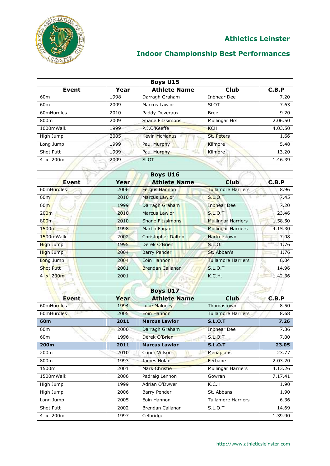

| <b>Boys U15</b>  |      |                      |               |         |
|------------------|------|----------------------|---------------|---------|
| <b>Event</b>     | Year | <b>Athlete Name</b>  | <b>Club</b>   | C.B.P   |
| 60 <sub>m</sub>  | 1998 | Darragh Graham       | Inbhear Dee   | 7.20    |
| 60 <sub>m</sub>  | 2009 | Marcus Lawlor        | <b>SLOT</b>   | 7.63    |
| 60mHurdles       | 2010 | Paddy Deveraux       | <b>Bree</b>   | 9.20    |
| 800m             | 2009 | Shane Fitzsimons     | Mullingar Hrs | 2.06.50 |
| 1000mWalk        | 1999 | P.J.O'Keeffe         | <b>KCH</b>    | 4.03.50 |
| High Jump        | 2005 | <b>Kevin McManus</b> | St. Peters    | 1.66    |
| Long Jump        | 1999 | Paul Murphy          | Kilmore       | 5.48    |
| <b>Shot Putt</b> | 1999 | <b>Paul Murphy</b>   | Kilmore       | 13.20   |
| 4 x 200m         | 2009 | <b>SLOT</b>          |               | 1.46.39 |
|                  |      |                      |               |         |

| <b>Boys U16</b>  |      |                           |                           |         |
|------------------|------|---------------------------|---------------------------|---------|
| Event            | Year | <b>Athlete Name</b>       | <b>Club</b>               | C.B.P   |
| 60mHurdles       | 2006 | <b>Fergus Hannon</b>      | <b>Tullamore Harriers</b> | 8.96    |
| 60 <sub>m</sub>  | 2010 | Marcus Lawlor             | <b>S.L.O.T</b>            | 7.45    |
| 60 <sub>m</sub>  | 1999 | Darragh Graham            | <b>Inbhear Dee</b>        | 7.20    |
| 200 <sub>m</sub> | 2010 | <b>Marcus Lawlor</b>      | <b>S.L.O.T</b>            | 23.46   |
| 800 <sub>m</sub> | 2010 | <b>Shane Fitzsimons</b>   | <b>Mullingar Harriers</b> | 1.58.50 |
| 1500m            | 1998 | Martin Fagan              | <b>Mullingar Harriers</b> | 4.15.30 |
| 1500mWalk        | 2002 | <b>Christopher Dalton</b> | <b>Hacketstown</b>        | 7.08    |
| High Jump        | 1995 | Derek O'Brien             | <b>S.L.O.T</b>            | 1.76    |
| High Jump        | 2004 | <b>Barry Pender</b>       | St. Abban's               | 1.76    |
| Long Jump        | 2004 | Eoin Hannon               | <b>Tullamore Harriers</b> | 6.04    |
| <b>Shot Putt</b> | 2001 | <b>Brendan Callanan</b>   | <b>S.L.O.T</b>            | 14.96   |
| 4 x 200m         | 2001 |                           | K.C.H.                    | 1.42.36 |
|                  |      |                           |                           |         |

| <b>Boys U17</b>  |      |                      |                           |         |  |
|------------------|------|----------------------|---------------------------|---------|--|
| <b>Event</b>     | Year | <b>Athlete Name</b>  | <b>Club</b>               | C.B.P   |  |
| 60mHurdles       | 1994 | Luke Maloney         | Thomastown                | 8.50    |  |
| 60mHurdles       | 2005 | Eoin Hannon          | <b>Tullamore Harriers</b> | 8.68    |  |
| 60 <sub>m</sub>  | 2011 | <b>Marcus Lawlor</b> | <b>S.L.O.T</b>            | 7.26    |  |
| 60 <sub>m</sub>  | 2000 | Darragh Graham       | <b>Inbhear Dee</b>        | 7.36    |  |
| 60 <sub>m</sub>  | 1996 | Derek O'Brien        | <b>S.L.O.T</b>            | 7.00    |  |
| 200m             | 2011 | <b>Marcus Lawlor</b> | <b>S.L.O.T</b>            | 23.05   |  |
| 200 <sub>m</sub> | 2010 | <b>Conor Wilson</b>  | <b>Menapians</b>          | 23.77   |  |
| 800m             | 1993 | James Nolan          | Ferbane                   | 2.03.20 |  |
| 1500m            | 2001 | <b>Mark Christie</b> | <b>Mullingar Harriers</b> | 4.13.26 |  |
| 1500mWalk        | 2006 | Padraig Lennon       | Gowran                    | 7.17.41 |  |
| High Jump        | 1999 | Adrian O'Dwyer       | K.C.H                     | 1.90    |  |
| High Jump        | 2006 | Barry Pender         | St. Abbans                | 1.90    |  |
| Long Jump        | 2005 | Eoin Hannon          | <b>Tullamore Harriers</b> | 6.36    |  |
| Shot Putt        | 2002 | Brendan Callanan     | S.L.O.T                   | 14.69   |  |
| 4 x 200m         | 1997 | Celbridge            |                           | 1.39.90 |  |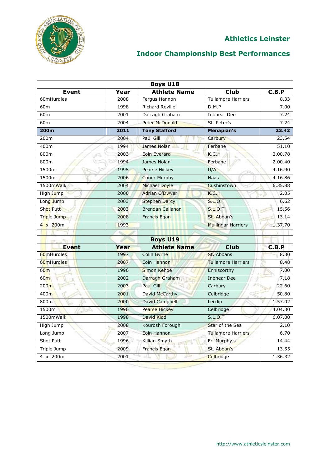

| <b>Boys U18</b>  |      |                         |                           |         |  |
|------------------|------|-------------------------|---------------------------|---------|--|
| Event            | Year | <b>Athlete Name</b>     | <b>Club</b>               | C.B.P   |  |
| 60mHurdles       | 2008 | Fergus Hannon           | Tullamore Harriers        | 8.33    |  |
| 60 <sub>m</sub>  | 1998 | <b>Richard Reville</b>  | D.M.P                     | 7.00    |  |
| 60 <sub>m</sub>  | 2001 | Darragh Graham          | <b>Inbhear Dee</b>        | 7.24    |  |
| 60 <sub>m</sub>  | 2004 | <b>Peter McDonald</b>   | St. Peter's               | 7.24    |  |
| 200m             | 2011 | <b>Tony Stafford</b>    | Menapian's                | 23.42   |  |
| 200m             | 2004 | Paul Gill               | Carbury                   | 23.54   |  |
| 400m             | 1994 | James Nolan             | Ferbane                   | 51.10   |  |
| 800m             | 2003 | <b>Eoin Everard</b>     | K.C.H                     | 2.00.78 |  |
| 800m             | 1994 | James Nolan             | Ferbane                   | 2.00.40 |  |
| 1500m            | 1995 | Pearse Hickey           | U/A                       | 4.16.90 |  |
| 1500m            | 2006 | <b>Conor Murphy</b>     | <b>Naas</b>               | 4.16.86 |  |
| 1500mWalk        | 2004 | Michael Doyle           | Cushinstown               | 6.35.88 |  |
| High Jump        | 2000 | <b>Adrian O'Dwyer</b>   | K.C.H                     | 2.05    |  |
| Long Jump        | 2003 | <b>Stephen Darcy</b>    | <b>S.L.O.T</b>            | 6.62    |  |
| <b>Shot Putt</b> | 2003 | <b>Brendan Callanan</b> | <b>S.L.O.T</b>            | 15.56   |  |
| Triple Jump      | 2008 | Francis Egan            | St. Abban's               | 13.14   |  |
| $4 \times 200$ m | 1993 |                         | <b>Mullingar Harriers</b> | 1.37.70 |  |
|                  |      |                         |                           |         |  |
|                  |      | <b>Boys U19</b>         |                           |         |  |
| <b>Event</b>     | Year | <b>Athlete Name</b>     | <b>Club</b>               | C.B.P   |  |
| 60mHurdles       | 1997 | Colin Byrne             | St. Abbans                | 8.30    |  |
| 60mHurdles       | 2007 | Eoin Hannon             | <b>Tullamore Harriers</b> | 8.48    |  |
| 60 <sub>m</sub>  | 1996 | <b>Simon Kehoe</b>      | Enniscorthy               | 7.00    |  |
| 60 <sub>m</sub>  | 2002 | Darragh Graham          | <b>Inbhear Dee</b>        | 7.18    |  |
| 200 <sub>m</sub> | 2003 | <b>Paul Gill</b>        | Carbury                   | 22.60   |  |
| 400m             | 2001 | David McCarthy          | Celbridge                 | 50.80   |  |
| 800m             | 2000 | <b>David Campbell</b>   | Leixlip                   | 1.57.02 |  |
| 1500m<br>Z.      | 1996 | <b>Pearse Hickey</b>    | Celbridge                 | 4.04.30 |  |
| 1500mWalk        | 1998 | David Kidd              | <b>S.L.O.T</b>            | 6.07.00 |  |
| High Jump        | 2008 | Kourosh Foroughi        | Star of the Sea           | 2.10    |  |
| Long Jump        | 2007 | Eoin Hannon             | <b>Tullamore Harriers</b> | 6.70    |  |
| Shot Putt        | 1996 | Killian Smyth           | Fr. Murphy's              | 14.44   |  |
| Triple Jump      | 2009 | <b>Francis Egan</b>     | St. Abban's               | 13.55   |  |
| $4 \times 200m$  | 2001 | -41<br>طل               | Celbridge                 | 1.36.32 |  |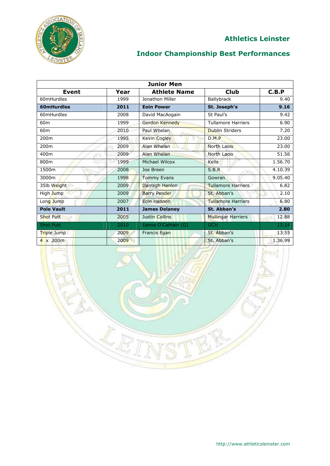

# **Indoor Championship Best Performances**

| <b>Junior Men</b>          |      |                       |                           |         |
|----------------------------|------|-----------------------|---------------------------|---------|
| <b>Event</b>               | Year | <b>Athlete Name</b>   | <b>Club</b>               | C.B.P   |
| 60mHurdles                 | 1999 | Jonathon Miller       | Ballybrack                | 9.40    |
| 60mHurdles                 | 2011 | <b>Eoin Power</b>     | St. Joseph's              | 9.16    |
| 60mHurdles                 | 2008 | David MacAogain       | St Paul's                 | 9.42    |
| 60 <sub>m</sub>            | 1999 | <b>Gordon Kennedy</b> | <b>Tullamore Harriers</b> | 6.90    |
| 60 <sub>m</sub>            | 2010 | Paul Whelan           | <b>Dublin Striders</b>    | 7.20    |
| 200 <sub>m</sub>           | 1995 | Kevin Cogley          | D.M.P                     | 23.00   |
| 200 <sub>m</sub>           | 2009 | Alan Whelan           | <b>North Laois</b>        | 23.00   |
| 400m                       | 2009 | Alan Whelan           | North Laois               | 51.56   |
| 800m                       | 1999 | Michael Wilcox        | <b>Kells</b>              | 1.56.70 |
| 1500m                      | 2008 | Joe Breen             | S.B.R                     | 4.10.39 |
| 3000m                      | 1998 | Tommy Evans           | Gowran                    | 9.05.40 |
| 35lb Weight                | 2009 | Darragh Hanlon        | <b>Tullamore Harriers</b> | 6.82    |
| High Jump                  | 2009 | <b>Barry Pender</b>   | St. Abban's               | 2.10    |
| Long Jump                  | 2007 | Eoin Hannon           | <b>Tullamore Harriers</b> | 6.80    |
| <b>Pole Vault</b>          | 2011 | <b>James Delaney</b>  | St. Abban's               | 2.80    |
| <b>Shot Putt</b>           | 2005 | <b>Justin Collins</b> | <b>Mullingar Harriers</b> | 12.88   |
| <b>Shot Putt</b>           | 2010 | Eanna O'Cathain (G)   | <b>GCH</b>                | 13.14   |
| T <mark>ri</mark> ple Jump | 2009 | <b>Francis Egan</b>   | St. Abban's               | 13.55   |
| $4 \times 200$ m           | 2009 |                       | St. Abban's               | 1.36.99 |

LE

http://www.athleticsleinster.com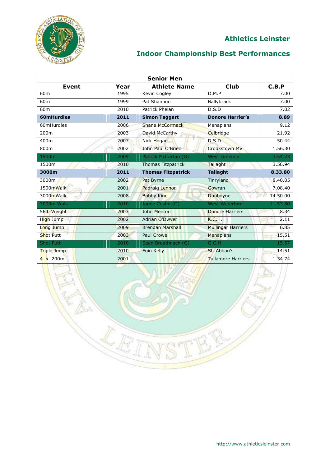

# **Indoor Championship Best Performances**

| <b>Senior Men</b> |      |                           |                           |          |
|-------------------|------|---------------------------|---------------------------|----------|
| <b>Event</b>      | Year | <b>Athlete Name</b>       | <b>Club</b>               | C.B.P    |
| 60 <sub>m</sub>   | 1995 | Kevin Cogley              | D.M.P                     | 7.00     |
| 60 <sub>m</sub>   | 1999 | Pat Shannon               | <b>Ballybrack</b>         | 7.00     |
| 60 <sub>m</sub>   | 2010 | Patrick Phelan            | D.S.D                     | 7.02     |
| 60mHurdles        | 2011 | <b>Simon Taggart</b>      | <b>Donore Harrier's</b>   | 8.89     |
| 60mHurdles        | 2006 | <b>Shane McCormack</b>    | Menapians                 | 9.12     |
| 200m              | 2003 | David McCarthy            | Celbridge                 | 21.92    |
| 400m              | 2007 | Nick Hogan                | D.S.D                     | 50.44    |
| 800m              | 2002 | John Paul O'Brien         | <b>Crookstown MV</b>      | 1.56.30  |
| 1500m             | 2009 | Patrick McCartan (G)      | <b>West Limerick</b>      | 3.54.23  |
| 1500m             | 2010 | Thomas Fitzpatrick        | Tallaght                  | 3.56.94  |
| 3000m             | 2011 | <b>Thomas Fitzpatrick</b> | <b>Tallaght</b>           | 8.33.80  |
| 3000m             | 2002 | Pat Byrne                 | Tinryland                 | 8.40.05  |
| 1500mWalk         | 2001 | <b>Padraig Lennon</b>     | Gowran                    | 7.08.40  |
| 3000mWalk         | 2008 | <b>Bobby King</b>         | Dunboyne                  | 14.50.00 |
| 3000m Walk        | 2010 | Jamie Costin (G)          | <b>West Waterford</b>     | 11.53.80 |
| 56lb Weight       | 2003 | John Menton               | <b>Donore Harriers</b>    | 8.34     |
| High Jump         | 2002 | <b>Adrian O'Dwyer</b>     | K.C.H.                    | 2.11     |
| Long Jump         | 2009 | <b>Brendan Marshall</b>   | <b>Mullingar Harriers</b> | 6.85     |
| <b>Shot Putt</b>  | 2003 | <b>Paul Crowe</b>         | <b>Menapians</b>          | 15.51    |
| <b>Shot Putt</b>  | 2010 | Sean Breathnach (G)       | G.C.H                     | 15.57    |
| Triple Jump       | 2010 | Eoin Kelly                | St. Abban's               | 14.51    |
| $4 \times 200m$   | 2001 |                           | <b>Tullamore Harriers</b> | 1.34.74  |

**RES**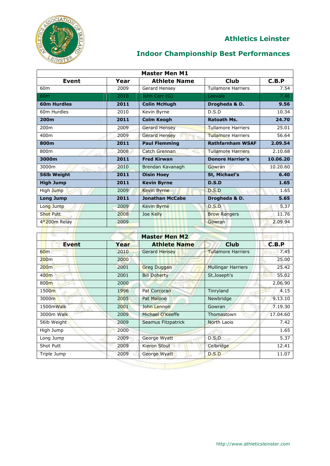

## **Indoor Championship Best Performances**

| <b>Master Men M1</b> |                |                        |                           |          |  |
|----------------------|----------------|------------------------|---------------------------|----------|--|
| <b>Event</b>         | Year           | <b>Athlete Name</b>    | <b>Club</b>               | C.B.P    |  |
| 60 <sub>m</sub>      | 2009           | Gerard Hensey          | <b>Tullamore Harriers</b> | 7.54     |  |
| 60 <sub>m</sub>      | 2010           | John Corr (G)          | Leevale                   | 7.46     |  |
| <b>60m Hurdles</b>   | 2011           | <b>Colin McHugh</b>    | Drogheda & D.             | 9.56     |  |
| 60m Hurdles          | 2010           | Kevin Byrne            | D.S.D                     | 10.34    |  |
| 200m                 | 2011           | <b>Colm Keogh</b>      | <b>Ratoath Ms.</b>        | 24.70    |  |
| 200 <sub>m</sub>     | 2009           | <b>Gerard Hensey</b>   | <b>Tullamore Harriers</b> | 25.01    |  |
| 400m                 | 2009           | Gerard Hensey          | <b>Tullamore Harriers</b> | 56.64    |  |
| 800m                 | 2011           | <b>Paul Flemming</b>   | <b>Rathfarnham WSAF</b>   | 2.09.54  |  |
| 800m                 | 2008           | Catch Grennan          | <b>Tullamore Harriers</b> | 2.10.68  |  |
| 3000m                | 2011           | <b>Fred Kirwan</b>     | <b>Donore Harrier's</b>   | 10.06.20 |  |
| 3000m                | 2010           | Brendan Kavanagh       | Gowran                    | 10.20.60 |  |
| 56lb Weight          | 2011           | <b>Oisin Hoey</b>      | St, Michael's             | 6.40     |  |
| <b>High Jump</b>     | 2011           | <b>Kevin Byrne</b>     | D.S.D                     | 1.65     |  |
| High Jump            | 2009           | <b>Kevin Byrne</b>     | D.S.D                     | 1.65     |  |
| <b>Long Jump</b>     | 2011           | <b>Jonathan McCabe</b> | Drogheda & D.             | 5.65     |  |
| Long Jump            | 2009           | Kevin Byrne            | D.S.D                     | 5.37     |  |
| <b>Shot Putt</b>     | 2008           | Joe Kelly              | <b>Brow Rangers</b>       | 11.76    |  |
| 4*200m Relay         | 2009           |                        | Gowran                    | 2.09.94  |  |
|                      | The Controller |                        |                           |          |  |

|      | <b>Master Men M2</b> |                           |          |
|------|----------------------|---------------------------|----------|
| Year | <b>Athlete Name</b>  | <b>Club</b>               | C.B.P    |
| 2010 | <b>Gerard Hensey</b> | <b>Tullamore Harriers</b> | 7.45     |
| 2000 |                      |                           | 25.00    |
| 2001 | <b>Greg Duggan</b>   | <b>Mullingar Harriers</b> | 25.42    |
| 2001 | <b>Bill Doherty</b>  | St.Joseph's               | 55.02    |
| 2000 |                      |                           | 2.06.90  |
| 1996 | Pat Corcoran         | Tinryland                 | 4.15     |
| 2005 | Pat Malone           | Newbridge                 | 9.13.10  |
| 2001 | John Lennon          | Gowran                    | 7.19.30  |
| 2009 | Michael O'Keeffe     | Thomastown                | 17.04.60 |
| 2009 | Seamus Fitzpatrick   | North Laois               | 7.42     |
| 2000 |                      |                           | 1.65     |
| 2009 | George Wyatt         | D.S.D                     | 5.37     |
| 2009 | <b>Kieron Stout</b>  | Celbridge                 | 12.41    |
| 2009 | George Wyatt         | D.S.D                     | 11.07    |
|      |                      |                           |          |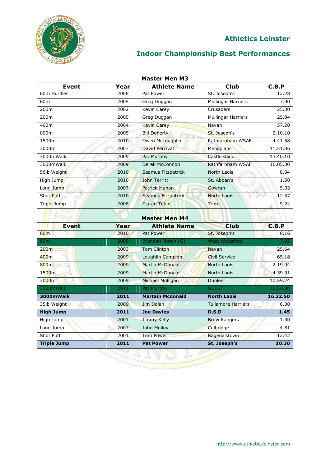

| <b>Master Men M3</b> |      |                         |                           |               |
|----------------------|------|-------------------------|---------------------------|---------------|
| <b>Event</b>         | Year | <b>Athlete Name</b>     | <b>Club</b>               | C.B.P         |
| 60m Hurdles          | 2008 | Pat Power               | St. Joseph's              | 12.28         |
| 60 <sub>m</sub>      | 2005 | Greg Duggan             | Mullingar Harriers        | 7.90          |
| 200m                 | 2002 | Kevin Carey             | Crusaders                 | 25.30         |
| 200m                 | 2005 | Greg Duggan             | Mullingar Harriers        | 25.84         |
| 400m                 | 2004 | <b>Kevin Carey</b>      | Navan                     | 57.20         |
| 800m                 | 2005 | <b>Bill Doherty</b>     | St. Joseph's              | 2.10.10       |
| 1500m                | 2010 | Owen McLoughlin         | Rathfarnham WSAF          | 4.41.58       |
| 3000m                | 2007 | <b>David Percival</b>   | <b>Menapians</b>          | 11.51.86      |
| 3000mWalk            | 2009 | Pat Murphy              | Castleisland              | 13.40.10      |
| 3000mWalk            | 2009 | Derek McConnon          | Rathfarnham WSAF          | 16.05.30      |
| 56lb Weight          | 2010 | Seamus Fitzpatrick      | <b>North Laois</b>        | 8.04          |
| High Jump            | 2010 | John Territt            | St. Abban's               | 1.50          |
| Long Jump            | 2007 | <b>Patrick Mahon</b>    | Gowran                    | 5.33          |
| Shot Putt            | 2010 | Seamus Fitzpatrick      | <b>North Laois</b>        | 12.57<br>v    |
| Triple Jump          | 2008 | <b>Ciaran Tobin</b>     | Trim                      | 9.24          |
|                      |      |                         |                           |               |
|                      |      | <b>Master Men M4</b>    |                           |               |
| <b>Event</b>         | Year | <b>Athlete Name</b>     | <b>Club</b>               | C.B.P         |
| 60m                  | 2010 | Pat Power               | St. Joseph's              | 8.16          |
| 60 <sub>m</sub>      | 2008 | Brendan Moran (G)       | <b>West Waterford</b>     | 7.95          |
| 200 <sub>m</sub>     | 2003 | <b>Tom Clinton</b>      | Navan                     | 25.64         |
| 400m                 | 2009 | Loughlin Campion        | <b>Civil Service</b>      | 65.18         |
| 800m                 | 2009 | <b>Martin McDonald</b>  | North Laois               | 2.19.94       |
| 1500m                | 2009 | <b>Martin McDonald</b>  | North Laois               | 4.39.91       |
| 3000m                | 2009 | Michael Mulligan        | Dunleer                   | 10.59.24      |
| 3000mWalk            | 2011 | Pat Murphy              | <b>GUEST</b>              | 13.54.30      |
| 3000mWalk            | 2011 | <b>Martain Mcdonald</b> | <b>North Laois</b>        | 16.32.50      |
| 35lb Weight          | 2009 | Jim Dolan               | <b>Tullamore Harriers</b> | 6.30          |
| <b>High Jump</b>     | 2011 | <b>Joe Davies</b>       | D.S.D                     | 1.45          |
|                      | 2001 | Jimmy Kelly             | <b>Brow Rangers</b>       | 1.30          |
| High Jump            |      |                         |                           |               |
| Long Jump            | 2007 | John Molloy             | Celbridge                 |               |
| Shot Putt            | 2001 | Tom Power               | Bagenalstown              | 4.81<br>12.42 |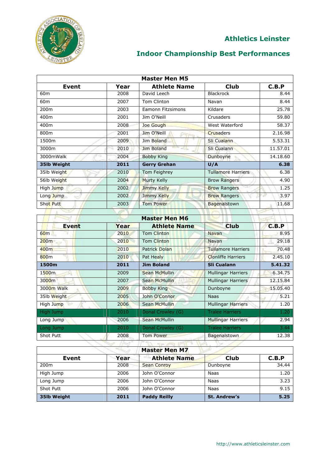

| <b>Master Men M5</b> |      |                          |                           |            |  |
|----------------------|------|--------------------------|---------------------------|------------|--|
| <b>Event</b>         | Year | <b>Athlete Name</b>      | <b>Club</b>               | C.B.P      |  |
| 60 <sub>m</sub>      | 2008 | David Leech              | Blackrock                 | 8.44       |  |
| 60 <sub>m</sub>      | 2007 | Tom Clinton              | Navan                     | 8.44       |  |
| 200m                 | 2003 | <b>Eamonn Fitzsimons</b> | Kildare                   | 25.78      |  |
| 400m                 | 2001 | Jim O'Neill              | Crusaders                 | 59.80      |  |
| 400m                 | 2008 | Joe Gough                | West Waterford            | 58.37      |  |
| 800m                 | 2001 | Jim O'Neill              | <b>Crusaders</b>          | 2.16.98    |  |
| 1500m                | 2009 | Jim Boland               | Sli Cualann               | 5.53.31    |  |
| 3000m                | 2010 | Jim Boland<br>нa.        | Sli Cualann               | 11.57.01   |  |
| 3000mWalk            | 2004 | <b>Bobby King</b>        | Dunboyne                  | 14.18.60   |  |
| 35lb Weight          | 2011 | <b>Gerry Grehan</b>      | U/A                       | 6.38       |  |
| 35lb Weight          | 2010 | Tom Feighrey             | <b>Tullamore Harriers</b> | 6.38       |  |
| 56lb Weight          | 2004 | <b>Murty Kelly</b>       | <b>Brow Rangers</b>       | 4.90       |  |
| High Jump            | 2002 | Jimmy Kelly              | <b>Brow Rangers</b>       | 1.25       |  |
| Long Jump            | 2002 | Jimmy Kelly              | <b>Brow Rangers</b>       | 3.97       |  |
| Shot Putt            | 2003 | <b>Tom Power</b>         | Bagenalstown              | 11.68      |  |
|                      |      |                          |                           |            |  |
|                      |      |                          |                           |            |  |
|                      |      | <b>Master Men M6</b>     |                           |            |  |
| <b>Event</b>         | Year | <b>Athlete Name</b>      | <b>Club</b>               | C.B.P      |  |
| 60m                  | 2010 | <b>Tom Clinton</b>       | <b>Navan</b>              | 8.95       |  |
| 200m                 | 2010 | <b>Tom Clinton</b>       | Navan                     | 29.18<br>兆 |  |
| 400m                 | 2010 | <b>Patrick Dolan</b>     | <b>Tullamore Harriers</b> | 70.48      |  |
| 800m                 | 2010 | Pat Healy                | <b>Clonliffe Harriers</b> | 2.45.10    |  |
| 1500m                | 2011 | <b>Jim Boland</b>        | <b>Sli Cualann</b>        | 5.41.32    |  |
| 1500m                | 2009 | <b>Sean McMullin</b>     | <b>Mullingar Harriers</b> | 6.34.75    |  |
| 3000m                | 2007 | <b>Sean McMullin</b>     | <b>Mullingar Harriers</b> | 12.15.84   |  |
| 3000m Walk           | 2009 | <b>Bobby King</b>        | Dunboyne                  | 15.05.40   |  |
| 35lb Weight          | 2005 | John O'Connor            | <b>Naas</b>               | 5.21       |  |
| High Jump            | 2006 | <b>Sean McMullin</b>     | <b>Mullingar Harriers</b> | 1.20       |  |
| High Jump            | 2010 | Donal Crowley (G)        | <b>Tralee Harriers</b>    | 1.20       |  |
| Long Jump            | 2006 | <b>Sean McMullin</b>     | <b>Mullingar Harriers</b> | 2.94       |  |
| Long Jump            | 2010 | Donal Crowley (G)        | <b>Tralee Harriers</b>    | 3.44       |  |

| <b>Master Men M7</b> |      |                     |                     |       |  |
|----------------------|------|---------------------|---------------------|-------|--|
| Event                | Year | <b>Athlete Name</b> | <b>Club</b>         | C.B.P |  |
| 200 <sub>m</sub>     | 2008 | <b>Sean Conroy</b>  | Dunboyne            | 34.44 |  |
| High Jump            | 2006 | John O'Connor       | Naas                | 1.20  |  |
| Long Jump            | 2006 | John O'Connor       | Naas                | 3.23  |  |
| Shot Putt            | 2006 | John O'Connor       | Naas                | 9.15  |  |
| 35lb Weight          | 2011 | <b>Paddy Reilly</b> | <b>St. Andrew's</b> | 5.25  |  |